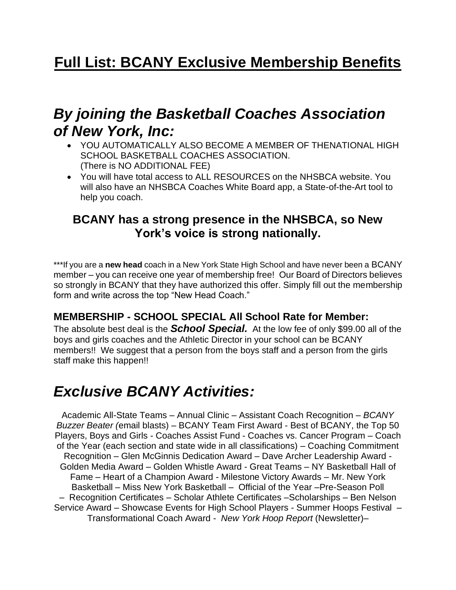### *By joining the Basketball Coaches Association of New York, Inc:*

- YOU AUTOMATICALLY ALSO BECOME A MEMBER OF THENATIONAL HIGH SCHOOL BASKETBALL COACHES ASSOCIATION. (There is NO ADDITIONAL FEE)
- You will have total access to ALL RESOURCES on the NHSBCA website. You will also have an NHSBCA Coaches White Board app, a State-of-the-Art tool to help you coach.

#### **BCANY has a strong presence in the NHSBCA, so New York's voice is strong nationally.**

\*\*\*If you are a new head coach in a New York State High School and have never been a BCANY member – you can receive one year of membership free! Our Board of Directors believes so strongly in BCANY that they have authorized this offer. Simply fill out the membership form and write across the top "New Head Coach."

#### **MEMBERSHIP - SCHOOL SPECIAL All School Rate for Member:**

The absolute best deal is the *School Special.* At the low fee of only \$99.00 all of the boys and girls coaches and the Athletic Director in your school can be BCANY members!! We suggest that a person from the boys staff and a person from the girls staff make this happen!!

# *Exclusive BCANY Activities:*

Academic All-State Teams – Annual Clinic – Assistant Coach Recognition – *BCANY Buzzer Beater (*email blasts) – BCANY Team First Award - Best of BCANY, the Top 50 Players, Boys and Girls - Coaches Assist Fund - Coaches vs. Cancer Program – Coach of the Year (each section and state wide in all classifications) – Coaching Commitment Recognition – Glen McGinnis Dedication Award – Dave Archer Leadership Award - Golden Media Award – Golden Whistle Award - Great Teams – NY Basketball Hall of Fame – Heart of a Champion Award - Milestone Victory Awards – Mr. New York Basketball – Miss New York Basketball – Official of the Year –Pre-Season Poll – Recognition Certificates – Scholar Athlete Certificates –Scholarships – Ben Nelson Service Award – Showcase Events for High School Players - Summer Hoops Festival – Transformational Coach Award - *New York Hoop Report* (Newsletter)–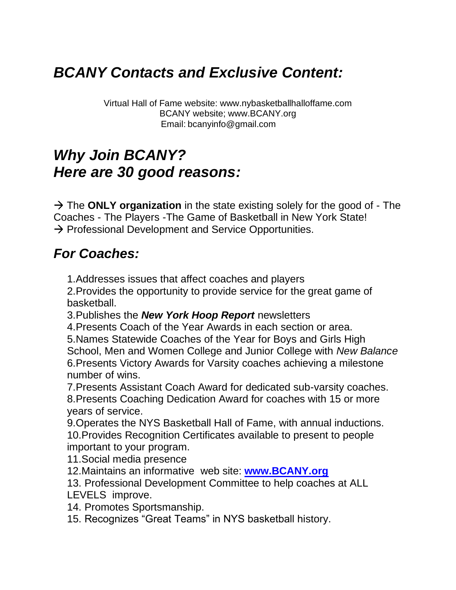# *BCANY Contacts and Exclusive Content:*

Virtual Hall of Fame website: www.nybasketballhalloffame.com BCANY website; www.BCANY.org Email: bcanyinfo@gmail.com

# *Why Join BCANY? Here are 30 good reasons:*

 $\rightarrow$  The **ONLY organization** in the state existing solely for the good of - The Coaches - The Players -The Game of Basketball in New York State!  $\rightarrow$  Professional Development and Service Opportunities.

### *For Coaches:*

1.Addresses issues that affect coaches and players

2.Provides the opportunity to provide service for the great game of basketball.

3.Publishes the *New York Hoop Report* newsletters

4.Presents Coach of the Year Awards in each section or area.

5.Names Statewide Coaches of the Year for Boys and Girls High School, Men and Women College and Junior College with *New Balance* 6.Presents Victory Awards for Varsity coaches achieving a milestone number of wins.

7.Presents Assistant Coach Award for dedicated sub-varsity coaches.

8.Presents Coaching Dedication Award for coaches with 15 or more years of service.

9.Operates the NYS Basketball Hall of Fame, with annual inductions. 10.Provides Recognition Certificates available to present to people important to your program.

11.Social media presence

12.Maintains an informative web site: **[www.BCANY.org](http://www.bcany.org/)**

13. Professional Development Committee to help coaches at ALL LEVELS improve.

14. Promotes Sportsmanship.

15. Recognizes "Great Teams" in NYS basketball history.